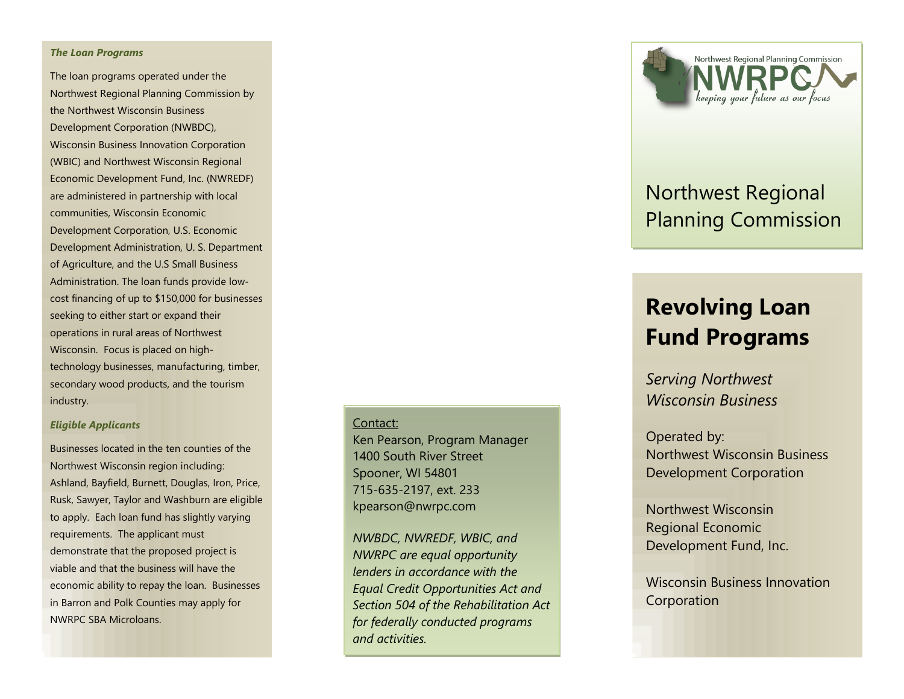#### *The Loan Programs*

The loan programs operated under the Northwest Regional Planning Commission by the Northwest Wisconsin Business Development Corporation (NWBDC), Wisconsin Business Innovation Corporation (WBIC) and Northwest Wisconsin Regional Economic Development Fund, Inc. (NWREDF) are administered in partnership with local communities, Wisconsin Economic Development Corporation, U.S. Economic Development Administration, U. S. Department of Agriculture, and the U.S Small Business Administration. The loan funds provide low cost financing of up to \$150,000 for businesses seeking to either start or expand their operations in rural areas of Northwest Wisconsin. Focus is placed on high technology businesses, manufacturing, timber, secondary wood products, and the tourism industry.

#### *Eligible Applicants*

Businesses located in the ten counties of the Northwest Wisconsin region including: Ashland, Bayfield, Burnett, Douglas, Iron, Price, Rusk, Sawyer, Taylor and Washburn are eligible to apply. Each loan fund has slightly varying requirements. The applicant must demonstrate that the proposed project is viable and that the business will have the economic ability to repay the loan. Businesses in Barron and Polk Counties may apply for NWRPC SBA Microloans.

#### Contact:

Ken Pearson, Program Manager 1400 South River Street Spooner, WI 54801 715 -635 -2197, ext. 233 kpearson@nwrpc.com

*NWBDC, NWREDF, WBIC, and NWRPC are equal opportunity lenders in accordance with the Equal Credit Opportunities Act and Section 504 of the Rehabilitation Act for federally conducted programs and activities.*



# Northwest Regional Planning Commission

# **Revolving Loan Fund Programs**

*Serving Northwest Wisconsin Business*

Operated by: Northwest Wisconsin Business Development Corporation

Northwest Wisconsin Regional Economic Development Fund, Inc.

Wisconsin Business Innovation Corporation